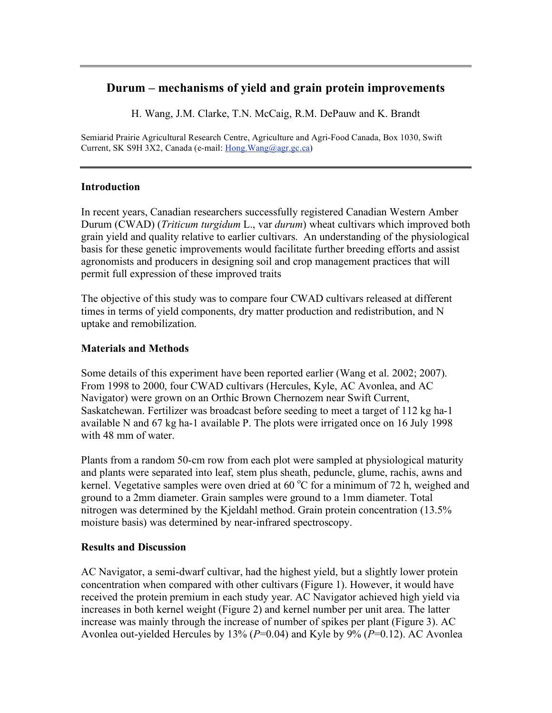# **Durum – mechanisms of yield and grain protein improvements**

H. Wang, J.M. Clarke, T.N. McCaig, R.M. DePauw and K. Brandt

Semiarid Prairie Agricultural Research Centre, Agriculture and Agri-Food Canada, Box 1030, Swift Current, SK S9H 3X2, Canada (e-mail: Hong.Wang@agr.gc.ca)

### **Introduction**

In recent years, Canadian researchers successfully registered Canadian Western Amber Durum (CWAD) (*Triticum turgidum* L., var *durum*) wheat cultivars which improved both grain yield and quality relative to earlier cultivars. An understanding of the physiological basis for these genetic improvements would facilitate further breeding efforts and assist agronomists and producers in designing soil and crop management practices that will permit full expression of these improved traits

The objective of this study was to compare four CWAD cultivars released at different times in terms of yield components, dry matter production and redistribution, and N uptake and remobilization.

# **Materials and Methods**

Some details of this experiment have been reported earlier (Wang et al. 2002; 2007). From 1998 to 2000, four CWAD cultivars (Hercules, Kyle, AC Avonlea, and AC Navigator) were grown on an Orthic Brown Chernozem near Swift Current, Saskatchewan. Fertilizer was broadcast before seeding to meet a target of 112 kg ha-1 available N and 67 kg ha-1 available P. The plots were irrigated once on 16 July 1998 with 48 mm of water.

Plants from a random 50-cm row from each plot were sampled at physiological maturity and plants were separated into leaf, stem plus sheath, peduncle, glume, rachis, awns and kernel. Vegetative samples were oven dried at 60  $^{\circ}$ C for a minimum of 72 h, weighed and ground to a 2mm diameter. Grain samples were ground to a 1mm diameter. Total nitrogen was determined by the Kjeldahl method. Grain protein concentration (13.5% moisture basis) was determined by near-infrared spectroscopy.

### **Results and Discussion**

AC Navigator, a semi-dwarf cultivar, had the highest yield, but a slightly lower protein concentration when compared with other cultivars (Figure 1). However, it would have received the protein premium in each study year. AC Navigator achieved high yield via increases in both kernel weight (Figure 2) and kernel number per unit area. The latter increase was mainly through the increase of number of spikes per plant (Figure 3). AC Avonlea out-yielded Hercules by 13% (*P*=0.04) and Kyle by 9% (*P*=0.12). AC Avonlea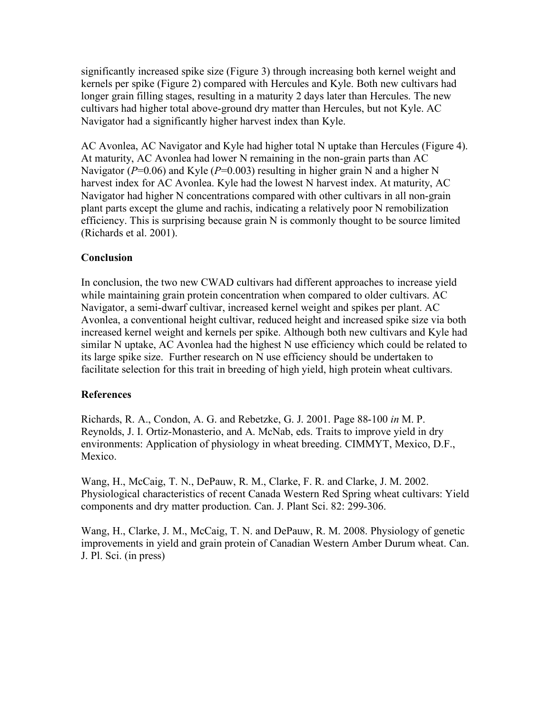significantly increased spike size (Figure 3) through increasing both kernel weight and kernels per spike (Figure 2) compared with Hercules and Kyle. Both new cultivars had longer grain filling stages, resulting in a maturity 2 days later than Hercules. The new cultivars had higher total above-ground dry matter than Hercules, but not Kyle. AC Navigator had a significantly higher harvest index than Kyle.

AC Avonlea, AC Navigator and Kyle had higher total N uptake than Hercules (Figure 4). At maturity, AC Avonlea had lower N remaining in the non-grain parts than AC Navigator (*P*=0.06) and Kyle (*P*=0.003) resulting in higher grain N and a higher N harvest index for AC Avonlea. Kyle had the lowest N harvest index. At maturity, AC Navigator had higher N concentrations compared with other cultivars in all non-grain plant parts except the glume and rachis, indicating a relatively poor N remobilization efficiency. This is surprising because grain N is commonly thought to be source limited (Richards et al. 2001).

# **Conclusion**

In conclusion, the two new CWAD cultivars had different approaches to increase yield while maintaining grain protein concentration when compared to older cultivars. AC Navigator, a semi-dwarf cultivar, increased kernel weight and spikes per plant. AC Avonlea, a conventional height cultivar, reduced height and increased spike size via both increased kernel weight and kernels per spike. Although both new cultivars and Kyle had similar N uptake, AC Avonlea had the highest N use efficiency which could be related to its large spike size. Further research on N use efficiency should be undertaken to facilitate selection for this trait in breeding of high yield, high protein wheat cultivars.

### **References**

Richards, R. A., Condon, A. G. and Rebetzke, G. J. 2001. Page 88-100 *in* M. P. Reynolds, J. I. Ortiz-Monasterio, and A. McNab, eds. Traits to improve yield in dry environments: Application of physiology in wheat breeding. CIMMYT, Mexico, D.F., Mexico.

Wang, H., McCaig, T. N., DePauw, R. M., Clarke, F. R. and Clarke, J. M. 2002. Physiological characteristics of recent Canada Western Red Spring wheat cultivars: Yield components and dry matter production. Can. J. Plant Sci. 82: 299-306.

Wang, H., Clarke, J. M., McCaig, T. N. and DePauw, R. M. 2008. Physiology of genetic improvements in yield and grain protein of Canadian Western Amber Durum wheat. Can. J. Pl. Sci. (in press)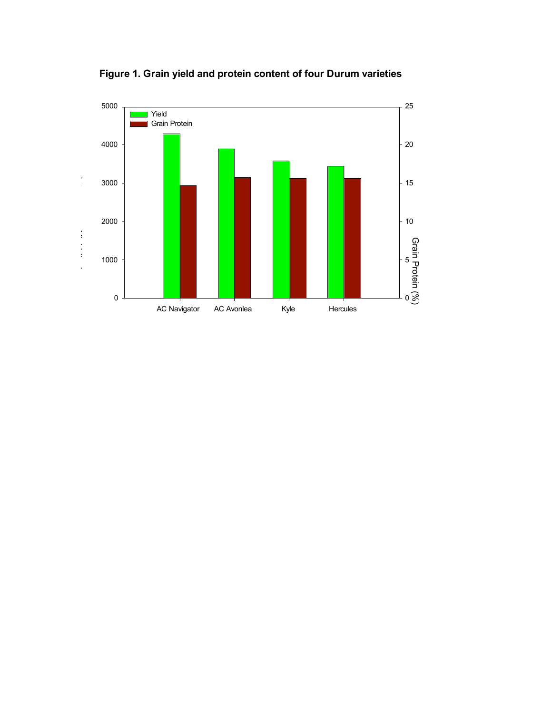

**Figure 1. Grain yield and protein content of four Durum varieties**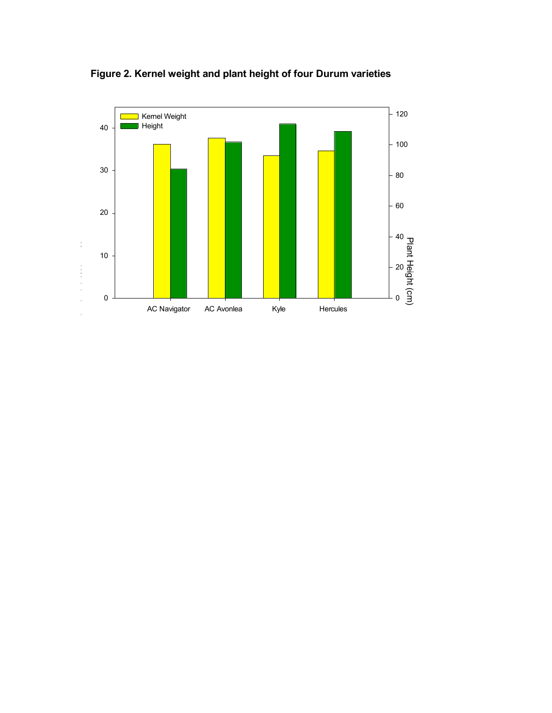

**Figure 2. Kernel weight and plant height of four Durum varieties**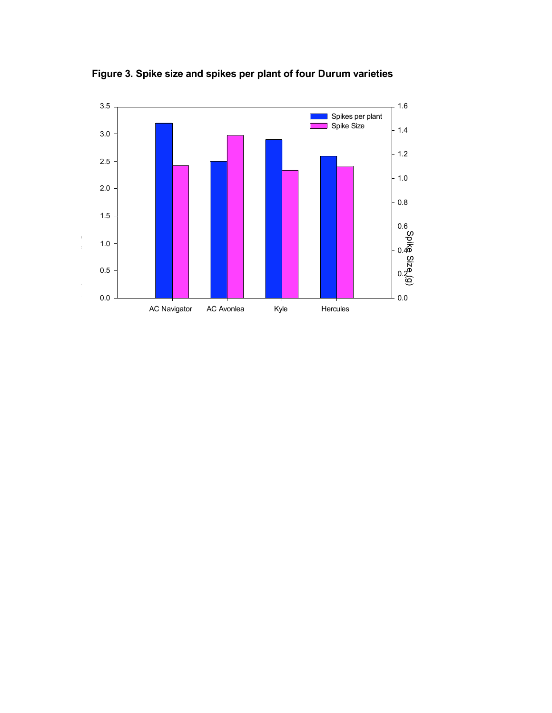